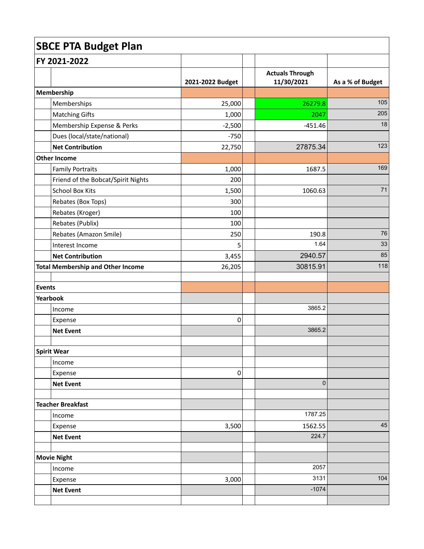| <b>SBCE PTA Budget Plan</b> |                                          |                  |  |                                      |                  |  |
|-----------------------------|------------------------------------------|------------------|--|--------------------------------------|------------------|--|
|                             | FY 2021-2022                             |                  |  |                                      |                  |  |
|                             |                                          | 2021-2022 Budget |  | <b>Actuals Through</b><br>11/30/2021 | As a % of Budget |  |
|                             | Membership                               |                  |  |                                      |                  |  |
|                             | Memberships                              | 25,000           |  | 26279.8                              | 105              |  |
|                             | <b>Matching Gifts</b>                    | 1,000            |  | 2047                                 | 205              |  |
|                             | Membership Expense & Perks               | $-2,500$         |  | $-451.46$                            | 18               |  |
|                             | Dues (local/state/national)              | $-750$           |  |                                      |                  |  |
|                             | <b>Net Contribution</b>                  | 22,750           |  | 27875.34                             | 123              |  |
|                             | <b>Other Income</b>                      |                  |  |                                      |                  |  |
|                             | <b>Family Portraits</b>                  | 1,000            |  | 1687.5                               | 169              |  |
|                             | Friend of the Bobcat/Spirit Nights       | 200              |  |                                      |                  |  |
|                             | <b>School Box Kits</b>                   | 1,500            |  | 1060.63                              | 71               |  |
|                             | Rebates (Box Tops)                       | 300              |  |                                      |                  |  |
|                             | Rebates (Kroger)                         | 100              |  |                                      |                  |  |
|                             | Rebates (Publix)                         | 100              |  |                                      |                  |  |
|                             | Rebates (Amazon Smile)                   | 250              |  | 190.8                                | 76               |  |
|                             | Interest Income                          | 5                |  | 1.64                                 | 33               |  |
|                             | <b>Net Contribution</b>                  | 3,455            |  | 2940.57                              | 85               |  |
|                             | <b>Total Membership and Other Income</b> | 26,205           |  | 30815.91                             | 118              |  |
| <b>Events</b>               |                                          |                  |  |                                      |                  |  |
|                             | Yearbook                                 |                  |  |                                      |                  |  |
|                             | Income                                   |                  |  | 3865.2                               |                  |  |
|                             | Expense                                  | 0                |  |                                      |                  |  |
|                             | <b>Net Event</b>                         |                  |  | 3865.2                               |                  |  |
|                             | <b>Spirit Wear</b>                       |                  |  |                                      |                  |  |
|                             | Income                                   |                  |  |                                      |                  |  |
|                             | Expense                                  | $\boldsymbol{0}$ |  |                                      |                  |  |
|                             | <b>Net Event</b>                         |                  |  | $\pmb{0}$                            |                  |  |
|                             | <b>Teacher Breakfast</b>                 |                  |  |                                      |                  |  |
|                             | Income                                   |                  |  | 1787.25                              |                  |  |
|                             | Expense                                  | 3,500            |  | 1562.55                              | 45               |  |
|                             | <b>Net Event</b>                         |                  |  | 224.7                                |                  |  |
|                             | <b>Movie Night</b>                       |                  |  |                                      |                  |  |
|                             | Income                                   |                  |  | 2057                                 |                  |  |
|                             | Expense                                  | 3,000            |  | 3131                                 | 104              |  |
|                             | <b>Net Event</b>                         |                  |  | $-1074$                              |                  |  |
|                             |                                          |                  |  |                                      |                  |  |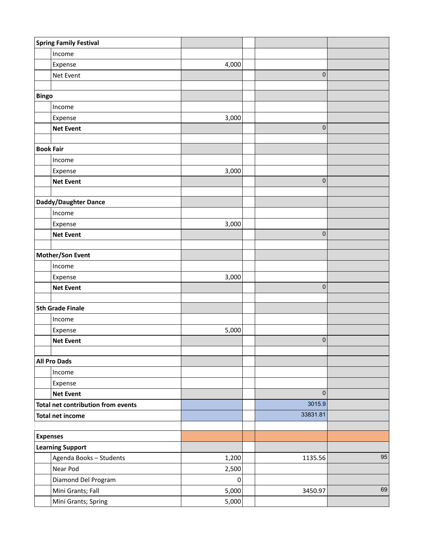|                                    | <b>Spring Family Festival</b> |                  |             |    |
|------------------------------------|-------------------------------|------------------|-------------|----|
|                                    | Income                        |                  |             |    |
|                                    | Expense                       | 4,000            |             |    |
|                                    | Net Event                     |                  | $\mathbf 0$ |    |
|                                    |                               |                  |             |    |
| <b>Bingo</b>                       |                               |                  |             |    |
|                                    | Income                        |                  |             |    |
|                                    | Expense                       | 3,000            |             |    |
|                                    | <b>Net Event</b>              |                  | $\pmb{0}$   |    |
|                                    |                               |                  |             |    |
| <b>Book Fair</b>                   |                               |                  |             |    |
|                                    | Income                        |                  |             |    |
|                                    | Expense                       | 3,000            |             |    |
|                                    | <b>Net Event</b>              |                  | $\pmb{0}$   |    |
|                                    |                               |                  |             |    |
|                                    | Daddy/Daughter Dance          |                  |             |    |
|                                    | Income                        | 3,000            |             |    |
|                                    | Expense<br><b>Net Event</b>   |                  | $\pmb{0}$   |    |
|                                    |                               |                  |             |    |
| Mother/Son Event                   |                               |                  |             |    |
|                                    | Income                        |                  |             |    |
|                                    | Expense                       | 3,000            |             |    |
|                                    | <b>Net Event</b>              |                  | $\mathbf 0$ |    |
|                                    |                               |                  |             |    |
| <b>5th Grade Finale</b>            |                               |                  |             |    |
|                                    | Income                        |                  |             |    |
|                                    | Expense                       | 5,000            |             |    |
|                                    | <b>Net Event</b>              |                  | $\pmb{0}$   |    |
|                                    |                               |                  |             |    |
|                                    | <b>All Pro Dads</b>           |                  |             |    |
|                                    | Income                        |                  |             |    |
|                                    | Expense                       |                  |             |    |
|                                    | <b>Net Event</b>              |                  | $\pmb{0}$   |    |
| Total net contribution from events |                               |                  | 3015.9      |    |
| <b>Total net income</b>            |                               |                  | 33831.81    |    |
|                                    |                               |                  |             |    |
| <b>Expenses</b>                    |                               |                  |             |    |
|                                    | <b>Learning Support</b>       |                  |             |    |
|                                    | Agenda Books - Students       | 1,200            | 1135.56     | 95 |
|                                    | Near Pod                      | 2,500            |             |    |
|                                    | Diamond Del Program           | $\boldsymbol{0}$ |             |    |
|                                    | Mini Grants; Fall             | 5,000            | 3450.97     | 69 |
|                                    | Mini Grants; Spring           | 5,000            |             |    |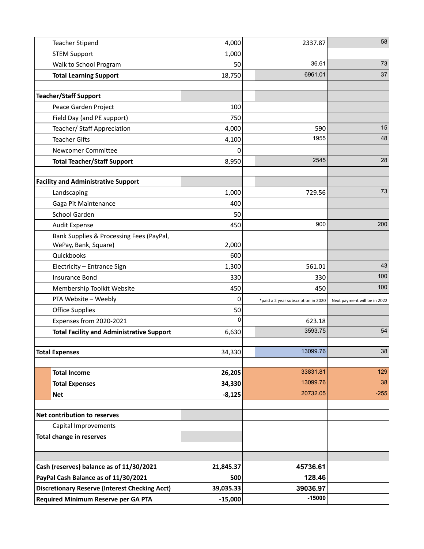|                                                       | <b>Teacher Stipend</b>                           | 4,000     | 2337.87                             | 58                           |
|-------------------------------------------------------|--------------------------------------------------|-----------|-------------------------------------|------------------------------|
|                                                       | <b>STEM Support</b>                              | 1,000     |                                     |                              |
|                                                       | Walk to School Program                           | 50        | 36.61                               | 73                           |
|                                                       | <b>Total Learning Support</b>                    | 18,750    | 6961.01                             | 37                           |
|                                                       |                                                  |           |                                     |                              |
|                                                       | <b>Teacher/Staff Support</b>                     |           |                                     |                              |
|                                                       | Peace Garden Project                             | 100       |                                     |                              |
|                                                       | Field Day (and PE support)                       | 750       |                                     |                              |
|                                                       | Teacher/ Staff Appreciation                      | 4,000     | 590                                 | 15                           |
|                                                       | <b>Teacher Gifts</b>                             | 4,100     | 1955                                | 48                           |
|                                                       | Newcomer Committee                               | 0         |                                     |                              |
|                                                       | <b>Total Teacher/Staff Support</b>               | 8,950     | 2545                                | 28                           |
|                                                       |                                                  |           |                                     |                              |
|                                                       | <b>Facility and Administrative Support</b>       |           |                                     |                              |
|                                                       | Landscaping                                      | 1,000     | 729.56                              | 73                           |
|                                                       | Gaga Pit Maintenance                             | 400       |                                     |                              |
|                                                       | School Garden                                    | 50        |                                     |                              |
|                                                       | <b>Audit Expense</b>                             | 450       | 900                                 | 200                          |
|                                                       | Bank Supplies & Processing Fees (PayPal,         |           |                                     |                              |
|                                                       | WePay, Bank, Square)                             | 2,000     |                                     |                              |
|                                                       | Quickbooks                                       | 600       |                                     | 43                           |
|                                                       | Electricity - Entrance Sign                      | 1,300     | 561.01                              | 100                          |
|                                                       | <b>Insurance Bond</b>                            | 330       | 330                                 | 100                          |
|                                                       | Membership Toolkit Website                       | 450       | 450                                 |                              |
|                                                       | PTA Website - Weebly                             | 0         | *paid a 2 year subscription in 2020 | Next payment will be in 2022 |
|                                                       | <b>Office Supplies</b>                           | 50        |                                     |                              |
|                                                       | Expenses from 2020-2021                          | 0         | 623.18                              |                              |
|                                                       | <b>Total Facility and Administrative Support</b> | 6,630     | 3593.75                             | 54                           |
|                                                       | <b>Total Expenses</b>                            | 34,330    | 13099.76                            | 38                           |
|                                                       |                                                  |           |                                     |                              |
|                                                       | <b>Total Income</b>                              | 26,205    | 33831.81                            | 129                          |
|                                                       | <b>Total Expenses</b>                            | 34,330    | 13099.76                            | 38                           |
|                                                       | <b>Net</b>                                       | $-8,125$  | 20732.05                            | $-255$                       |
|                                                       |                                                  |           |                                     |                              |
|                                                       | Net contribution to reserves                     |           |                                     |                              |
|                                                       | Capital Improvements                             |           |                                     |                              |
|                                                       | <b>Total change in reserves</b>                  |           |                                     |                              |
|                                                       |                                                  |           |                                     |                              |
|                                                       |                                                  |           |                                     |                              |
|                                                       | Cash (reserves) balance as of 11/30/2021         | 21,845.37 | 45736.61                            |                              |
| PayPal Cash Balance as of 11/30/2021                  |                                                  | 500       | 128.46                              |                              |
| <b>Discretionary Reserve (Interest Checking Acct)</b> |                                                  | 39,035.33 | 39036.97                            |                              |
| Required Minimum Reserve per GA PTA                   |                                                  | $-15,000$ | $-15000$                            |                              |